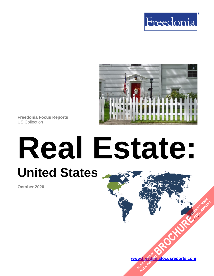



**Freedonia Focus Reports** US Collection

# **Real Estate: United States**

**October 2020**

**[www.freedoniafocusreports.com](https://www.freedoniafocusreports.com/redirect.asp?progid=89534&url=/) [BROCHURE](https://www.freedoniafocusreports.com/Real-Estate-United-States-FF95081/?progid=89541) REPORTER** W.freegory

**FULL REPORT**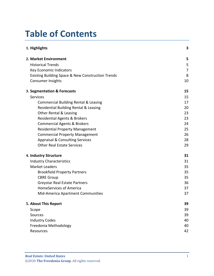# **Table of Contents**

| 1. Highlights                                     | 3  |
|---------------------------------------------------|----|
| 2. Market Environment                             | 5  |
| <b>Historical Trends</b>                          | 5  |
| Key Economic Indicators                           | 7  |
| Existing Building Space & New Construction Trends | 8  |
| Consumer Insights                                 | 10 |
| 3. Segmentation & Forecasts                       | 15 |
| Services                                          | 15 |
| <b>Commercial Building Rental &amp; Leasing</b>   | 17 |
| Residential Building Rental & Leasing             | 20 |
| Other Rental & Leasing                            | 23 |
| <b>Residential Agents &amp; Brokers</b>           | 23 |
| <b>Commercial Agents &amp; Brokers</b>            | 24 |
| <b>Residential Property Management</b>            | 25 |
| <b>Commercial Property Management</b>             | 26 |
| <b>Appraisal &amp; Consulting Services</b>        | 28 |
| <b>Other Real Estate Services</b>                 | 29 |
| 4. Industry Structure                             | 31 |
| <b>Industry Characteristics</b>                   | 31 |
| <b>Market Leaders</b>                             | 35 |
| <b>Brookfield Property Partners</b>               | 35 |
| <b>CBRE Group</b>                                 | 35 |
| <b>Greystar Real Estate Partners</b>              | 36 |
| HomeServices of America                           | 37 |
| Mid-America Apartment Communities                 | 37 |
| 5. About This Report                              | 39 |
| Scope                                             | 39 |
| Sources                                           | 39 |
| <b>Industry Codes</b>                             | 40 |
| Freedonia Methodology                             | 40 |
| Resources                                         | 42 |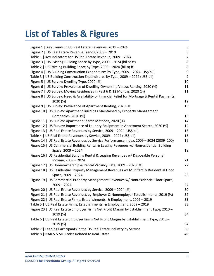# **List of Tables & Figures**

| Figure 1   Key Trends in US Real Estate Revenues, 2019 - 2024                                                  | 3              |
|----------------------------------------------------------------------------------------------------------------|----------------|
| Figure 2   US Real Estate Revenue Trends, 2009 - 2019                                                          | 5              |
| Table 1   Key Indicators for US Real Estate Revenue, 2009 - 2024                                               | $\overline{7}$ |
| Figure 3   US Existing Building Space by Type, 2009 - 2024 (bil sq ft)                                         | 8              |
| Table 2   US Existing Building Space by Type, 2009 - 2024 (bil sq ft)                                          | 8              |
| Figure 4   US Building Construction Expenditures by Type, 2009 - 2024 (US\$ bil)                               | 9              |
| Table 3   US Building Construction Expenditures by Type, 2009 - 2024 (US\$ bil)                                | 9              |
| Figure 5   US Survey: Dwelling Type, 2020 (%)                                                                  | 10             |
| Figure 6   US Survey: Prevalence of Dwelling Ownership Versus Renting, 2020 (%)                                | 11             |
| Figure 7   US Survey: Moving Residences in Past 6 & 12 Months, 2020 (%)                                        | 11             |
| Figure 8   US Survey: Need & Availability of Financial Relief for Mortgage & Rental Payments,<br>2020 (%)      | 12             |
| Figure 9   US Survey: Prevalence of Apartment Renting, 2020 (%)                                                | 13             |
| Figure 10   US Survey: Apartment Buildings Maintained by Property Management                                   |                |
| Companies, 2020 (%)                                                                                            | 13             |
| Figure 11   US Survey: Apartment Search Methods, 2020 (%)                                                      | 14             |
| Figure 12   US Survey: Importance of Laundry Equipment in Apartment Search, 2020 (%)                           | 14             |
| Figure 13   US Real Estate Revenues by Service, 2009 - 2024 (US\$ bil)                                         | 15             |
| Table 4   US Real Estate Revenues by Service, 2009 - 2024 (US\$ bil)                                           | 15             |
| Figure 14   US Real Estate Revenues by Service Performance Index, 2009 - 2024 (2009=100)                       | 16             |
| Figure 15   US Commercial Building Rental & Leasing Revenues w/ Nonresidential Building                        |                |
| Space, 2009 - 2024                                                                                             | 18             |
| Figure 16   US Residential Building Rental & Leasing Revenues w/ Disposable Personal                           |                |
| Income, 2009 - 2024                                                                                            | 21<br>22       |
| Figure 17   US Homeownership & Rental Vacancy Rate, 2009 - 2020 (%)                                            |                |
| Figure 18   US Residential Property Management Revenues w/ Multifamily Residential Floor<br>Space, 2009 - 2024 | 26             |
| Figure 19   US Commercial Property Management Revenues w/ Nonresidential Floor Space,                          |                |
| $2009 - 2024$                                                                                                  | 27             |
| Figure 20   US Real Estate Revenues by Service, 2009 - 2024 (%)                                                | 30             |
| Figure 21   US Real Estate Revenues by Employer & Nonemployer Establishments, 2019 (%)                         | 32             |
| Figure 22   US Real Estate Firms, Establishments, & Employment, 2009 - 2019                                    | 33             |
| Table 5   US Real Estate Firms, Establishments, & Employment, 2009 - 2019                                      | 33             |
| Figure 23   US Real Estate Employer Firms Net Profit Margin by Establishment Type, 2010 -<br>2019 (%)          | 34             |
| Table 6   US Real Estate Employer Firms Net Profit Margin by Establishment Type, 2010 -                        |                |
| 2019 (%)                                                                                                       | 34             |
| Table 7   Leading Participants in the US Real Estate Industry by Service                                       | 38             |
| Table 8   NAICS & SIC Codes Related to Real Estate                                                             | 40             |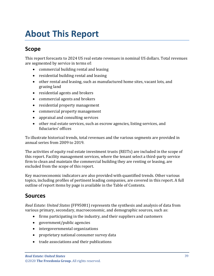# <span id="page-3-1"></span><span id="page-3-0"></span>**Scope**

This report forecasts to 2024 US real estate revenues in nominal US dollars. Total revenues are segmented by service in terms of:

- commercial building rental and leasing
- residential building rental and leasing
- other rental and leasing, such as manufactured home sites, vacant lots, and grazing land
- residential agents and brokers
- commercial agents and brokers
- residential property management
- commercial property management
- appraisal and consulting services
- other real estate services, such as escrow agencies, listing services, and fiduciaries' offices

To illustrate historical trends, total revenues and the various segments are provided in annual series from 2009 to 2019.

The activities of equity real estate investment trusts (REITs) are included in the scope of this report. Facility management services, where the tenant select a third-party service firm to clean and maintain the commercial building they are renting or leasing, are excluded from the scope of this report.

Key macroeconomic indicators are also provided with quantified trends. Other various topics, including profiles of pertinent leading companies, are covered in this report. A full outline of report items by page is available in the Table of Contents.

# <span id="page-3-2"></span>**Sources**

*Real Estate: United States* (FF95081) represents the synthesis and analysis of data from various primary, secondary, macroeconomic, and demographic sources, such as:

- firms participating in the industry, and their suppliers and customers
- government/public agencies
- intergovernmental organizations
- proprietary national consumer survey data
- trade associations and their publications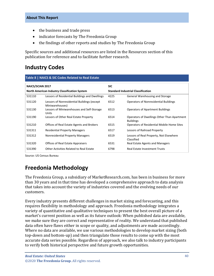- the business and trade press
- indicator forecasts by The Freedonia Group
- the findings of other reports and studies by The Freedonia Group

Specific sources and additional resources are listed in the Resources section of this publication for reference and to facilitate further research.

## <span id="page-4-0"></span>**Industry Codes**

<span id="page-4-2"></span>

| Table 8   NAICS & SIC Codes Related to Real Estate   |                                                                |                                           |                                                                 |  |
|------------------------------------------------------|----------------------------------------------------------------|-------------------------------------------|-----------------------------------------------------------------|--|
| <b>NAICS/SCIAN 2017</b>                              |                                                                | <b>SIC</b>                                |                                                                 |  |
| <b>North American Industry Classification System</b> |                                                                | <b>Standard Industrial Classification</b> |                                                                 |  |
| 531110                                               | Lessors of Residential Buildings and Dwellings                 | 4225                                      | General Warehousing and Storage                                 |  |
| 531120                                               | Lessors of Nonresidential Buildings (except<br>Miniwarehouses) | 6512                                      | <b>Operators of Nonresidential Buildings</b>                    |  |
| 531130                                               | Lessors of Miniwarehouses and Self-Storage<br>Units            | 6513                                      | <b>Operators of Apartment Buildings</b>                         |  |
| 531190                                               | Lessors of Other Real Estate Property                          | 6514                                      | Operators of Dwellings Other Than Apartment<br><b>Buildings</b> |  |
| 531210                                               | Offices of Real Estate Agents and Brokers                      | 6515                                      | Operators of Residential Mobile Home Sites                      |  |
| 531311                                               | <b>Residential Property Managers</b>                           | 6517                                      | Lessors of Railroad Property                                    |  |
| 531312                                               | <b>Nonresidential Property Managers</b>                        | 6519                                      | Lessors of Real Property, Not Elsewhere<br>Classified           |  |
| 531320                                               | <b>Offices of Real Estate Appraisers</b>                       | 6531                                      | Real Estate Agents and Managers                                 |  |
| 531390                                               | Other Activities Related to Real Estate                        | 6798                                      | Real Estate Investment Trusts                                   |  |

Source: US Census Bureau

# <span id="page-4-1"></span>**Freedonia Methodology**

The Freedonia Group, a subsidiary of MarketResearch.com, has been in business for more than 30 years and in that time has developed a comprehensive approach to data analysis that takes into account the variety of industries covered and the evolving needs of our customers.

Every industry presents different challenges in market sizing and forecasting, and this requires flexibility in methodology and approach. Freedonia methodology integrates a variety of quantitative and qualitative techniques to present the best overall picture of a market's current position as well as its future outlook: When published data are available, we make sure they are correct and representative of reality. We understand that published data often have flaws either in scope or quality, and adjustments are made accordingly. Where no data are available, we use various methodologies to develop market sizing (both top-down and bottom-up) and then triangulate those results to come up with the most accurate data series possible. Regardless of approach, we also talk to industry participants to verify both historical perspective and future growth opportunities.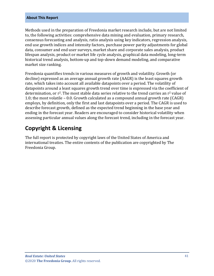Methods used in the preparation of Freedonia market research include, but are not limited to, the following activities: comprehensive data mining and evaluation, primary research, consensus forecasting and analysis, ratio analysis using key indicators, regression analysis, end use growth indices and intensity factors, purchase power parity adjustments for global data, consumer and end user surveys, market share and corporate sales analysis, product lifespan analysis, product or market life cycle analysis, graphical data modeling, long-term historical trend analysis, bottom-up and top-down demand modeling, and comparative market size ranking.

Freedonia quantifies trends in various measures of growth and volatility. Growth (or decline) expressed as an average annual growth rate (AAGR) is the least squares growth rate, which takes into account all available datapoints over a period. The volatility of datapoints around a least squares growth trend over time is expressed via the coefficient of determination, or  $r^2$ . The most stable data series relative to the trend carries an  $r^2$  value of 1.0; the most volatile – 0.0. Growth calculated as a compound annual growth rate (CAGR) employs, by definition, only the first and last datapoints over a period. The CAGR is used to describe forecast growth, defined as the expected trend beginning in the base year and ending in the forecast year. Readers are encouraged to consider historical volatility when assessing particular annual values along the forecast trend, including in the forecast year.

# **Copyright & Licensing**

The full report is protected by copyright laws of the United States of America and international treaties. The entire contents of the publication are copyrighted by The Freedonia Group.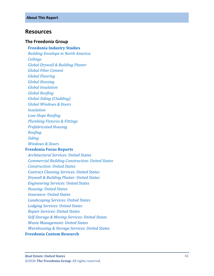## <span id="page-6-0"></span>**Resources**

#### **The Freedonia Group**

**[Freedonia Industry Studies](http://www.freedoniagroup.com/Home.aspx?ReferrerId=FL-Focus)**  *[Building Envelope in North America](https://www.freedoniagroup.com/DocumentDetails.aspx?ReferrerId=FL-FOCUS&StudyId=3725) [Ceilings](https://www.freedoniagroup.com/DocumentDetails.aspx?ReferrerId=FL-FOCUS&StudyId=3719) [Global Drywall & Building Plaster](https://www.freedoniagroup.com/DocumentDetails.aspx?ReferrerId=FL-FOCUS&StudyId=3768) [Global Fiber Cement](https://www.freedoniagroup.com/DocumentDetails.aspx?ReferrerId=FL-FOCUS&StudyId=3746) [Global Flooring](https://www.freedoniagroup.com/DocumentDetails.aspx?ReferrerId=FL-FOCUS&StudyId=3701) [Global Housing](https://www.freedoniagroup.com/DocumentDetails.aspx?ReferrerId=FL-FOCUS&StudyId=3752) [Global Insulation](https://www.freedoniagroup.com/DocumentDetails.aspx?ReferrerId=FL-FOCUS&StudyId=3681) [Global Roofing](https://www.freedoniagroup.com/DocumentDetails.aspx?ReferrerId=FL-FOCUS&StudyId=3698) [Global Siding \(Cladding\)](https://www.freedoniagroup.com/DocumentDetails.aspx?ReferrerId=FL-FOCUS&StudyId=3691) [Global Windows & Doors](https://www.freedoniagroup.com/DocumentDetails.aspx?ReferrerId=FL-FOCUS&StudyId=3771) [Insulation](https://www.freedoniagroup.com/DocumentDetails.aspx?ReferrerId=FL-FOCUS&StudyId=3754) Low [-Slope Roofing](https://www.freedoniagroup.com/DocumentDetails.aspx?ReferrerId=FL-FOCUS&StudyId=3762) [Plumbing Fixtures & Fittings](https://www.freedoniagroup.com/DocumentDetails.aspx?ReferrerId=FL-FOCUS&StudyId=3717) [Prefabricated Housing](http://www.freedoniagroup.com/DocumentDetails.aspx?ReferrerId=FL-FOCUS&studyid=3814) [Roofing](https://www.freedoniagroup.com/DocumentDetails.aspx?ReferrerId=FL-FOCUS&StudyId=3835) [Siding](https://www.freedoniagroup.com/DocumentDetails.aspx?ReferrerId=FL-FOCUS&StudyId=3775) [Windows & Doors](https://www.freedoniagroup.com/DocumentDetails.aspx?ReferrerId=FL-FOCUS&StudyId=3726)* **[Freedonia Focus Reports](https://www.freedoniafocusreports.com/redirect.asp?progid=89534&url=/)**  *[Architectural Services: United States](https://www.freedoniafocusreports.com/Architectural-Services-United-States-FF95039/?progid=89534) [Commercial Building Construction: United State](https://www.freedoniafocusreports.com/Commercial-Building-Construction-United-States-FF60032/?progid=89534) s [Construction: United States](https://www.freedoniafocusreports.com/Construction-United-States-FF60054/?progid=89534) [Contract Cleaning Services: United States](https://www.freedoniafocusreports.com/Contract-Cleaning-Services-United-States-FF95021/?progid=89534) [Drywall & Building Plaster: United States](https://www.freedoniafocusreports.com/Drywall-Building-Plaster-United-States-FF60060/?progid=89534) [Engineering Services: United States](https://www.freedoniafocusreports.com/Engineering-Services-United-States-FF95035/?progid=89534) [Housing: United State](https://www.freedoniafocusreports.com/Housing-United-States-FF60024/?progid=89534) s [Insurance: United States](https://www.freedoniafocusreports.com/Insurance-United-States-FF95012/?progid=89534) [Landscaping Services: United States](https://www.freedoniafocusreports.com/Landscaping-Services-United-States-FF95053/?progid=89534) [Lodging Services: United States](https://www.freedoniafocusreports.com/Lodging-Services-United-States-FF95045/?progid=89534) [Repair Services: United States](https://www.freedoniafocusreports.com/Repair-Services-United-States-FF95061/?progid=89534) [Self-Storage & Moving Services: United States](https://www.freedoniafocusreports.com/Self-Storage-Moving-Services-United-States-FF95030/?progid=89534) [Waste Management: United States](https://www.freedoniafocusreports.com/Waste-Management-United-States-FF95024/?progid=89534) [Warehousing & Storage Services: United States](https://www.freedoniafocusreports.com/Warehousing-Storage-Services-United-States-FF95041/?progid=89534)* **[Freedonia Custom Research](http://www.freedoniagroup.com/CustomResearch.aspx?ReferrerId=FL-Focus)**